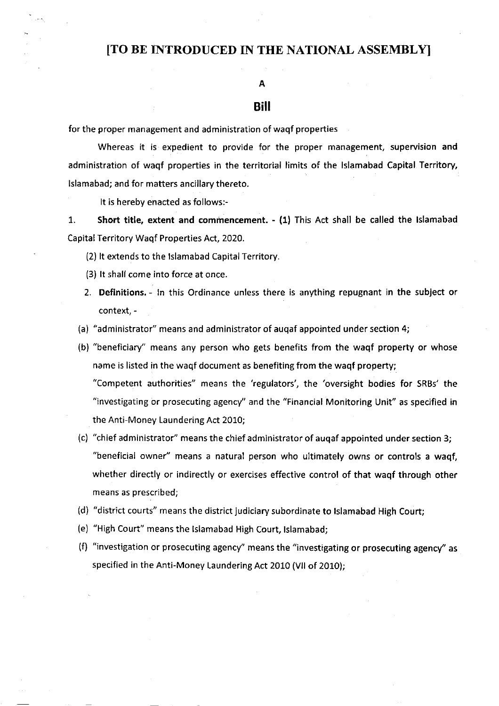# [TO BE INTRODUCED IN THE NATIONAL ASSEMBLYI

### A

# Bill

for the proper management and administration of waqf properties

Whereas it is expedient to provide for the proper management, supervision and administration of waqf properties in the territorial limits of the Islamabad Capital Territory, lslamabad; and for matters ancillary thereto.

It is hereby enacted as follows:-

1. Short title, extent and commencement. - (1) This Act shall be called the lslamabad Capital Territory Waqf Properties ACt,2O2O.

- (2) lt extends to the lslamabad Capital Territory.
- (3) lt shall come into force at once.
- 2. Definitions. ln this Ordinance unless there is anything repugnant in the subject or context, -
- (a) "administrator" means and administrator of auqaf appointed under section 4;
- (b) "beneficiary" means any person who gets benefits from the waqf property or whose name is listed in the waqf document as benefiting from the waqf property; "Competent authorities" means the 'regulators', the 'oversight bodies for SRBs' the "investigating or prosecuting agency''and the "Financial Monitoring Unit" as specified in the Anti-Money Laundering Act 2010;
- (c) "chief administrator" means the chief administrator of auqaf appointed under section 3; "beneficial owner" means a natural person who ultimately owns or controls a waqf, whether directly or indirectly or exercises effective control of that waqf through other means as prescribed;
- (d) "district courts" means the district judiciary subordinate to Islamabad High Court;
- (e) "High Court" means the lslamabad High Court, lslamabad;
- (f) "investigation or prosecuting agency" means the "investigating or prosecuting agency''as specified in the Anti-Money Laundering Act 2010 (VII of 2010);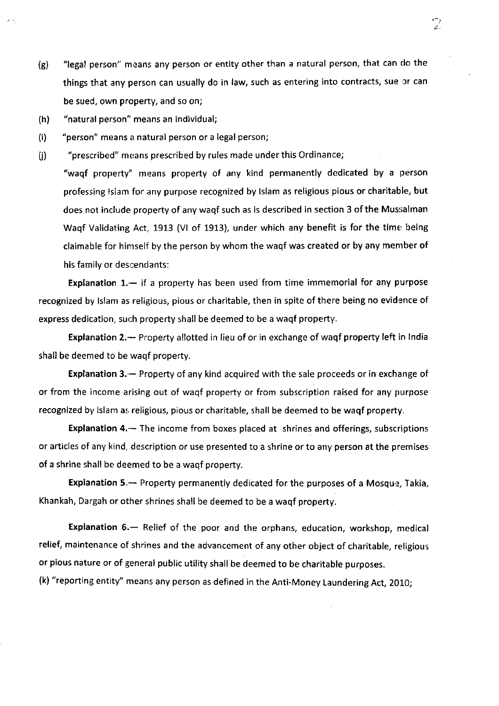- (g) "legal person" means any person or entity other than a natural person, that can do the things that any person can usually do in law, such as entering into contracts, sue or can be sued, own property, and so on;
- (h) "natural person" means an individual;
- (i) "person" means a natural person or a legal person;

(j) "prescribed" means prescribed by rules made under this Ordinance;

"waqf property" means property of any kind permanently dedicated by a person professing lslam for any purpose recognized by lslam as religious pious or charitable, but does not include property of any waqf such as is described in section 3 of the Mussalman Waqf Validating Act, 1913 (VI of 1913), under which any benefit is for the time being claimable for hinrself by the person by whom the waqf was created or by any menrber of his family or descendants:

Explanation  $1.$  - if a property has been used from time immemorial for any purpose recognized by Islam as religious, pious or charitable, then in spite of there being no evidence of express dedication, such property shall be deemed to be a waqf property.

Explanation 2.- Property allotted in lieu of or in exchange of waqf property left in India shall be deemed to be waqf property.

**Explanation 3.** – Property of any kind acquired with the sale proceeds or in exchange of or from the income arising out of waqf property or from subscription raised for any purpose recognized by Islam as religious, pious or charitable, shall be deemed to be waqf property.

Explanation 4.- The income from boxes placed at shrines and offerings, subscriptions or articles of any kind, description or use presented to a shrine or to any person at the premises of a shrine shall be deemed to be a waqf property.

Explanation 5. - Property permanently dedicated for the purposes of a Mosque, Takia, Khankah, Dargah or other shrines shall be deemed to be a waqf property.

Explanation 6.- Relief of the poor and the orphans, education, workshop, medical relief, maintenance of shrines and the advancement of any other object of charitable, religious or pious nature or of general public utility shall be deemed to be charitable purposes.

(k) "reporting entity'' means any person as defined in the Anti-Money Laundering Act, 2010;

ာ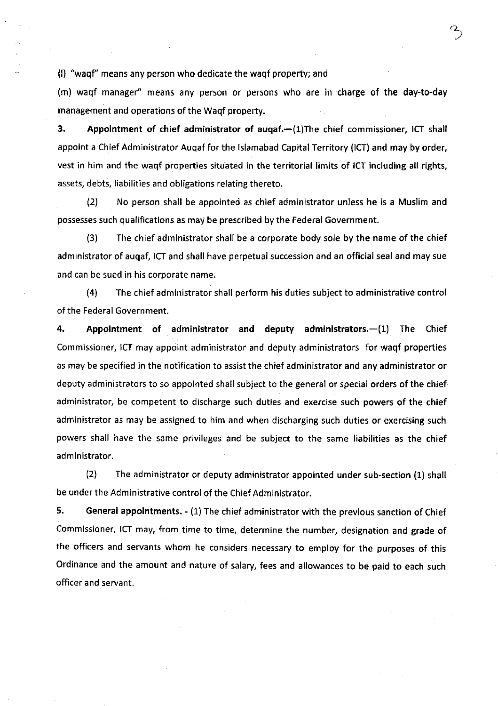(l) "waqf" means any person who dedicate the waqf property; and

(m) waqf manager" means any person or persons who are in charge of the day-to-day management and operations of the Waqf property.

3. Appointment of chief administrator of auqaf.-(1)The chief commissioner, ICT shall appoint a Chief Administrator Auqaf for the lslamabad Capital Territory (lCT) and may by order, vest in him and the waqf properties situated in the territorial limits of ICT including all rights, assets, debts, liabilities and obligations relating thereto.

(21 No person shall be appointed as chief administrator unless he is a Muslim and possesses such qualifications as may be prescribed by the Federal Government.

(3) The chief administrator shall be a corporate body sole by the name of the chief administrator of auqaf, ICT and shall have perpetual succession and an official seal and may sue and can be sued in his corporate name.

(4) The chief administrator shall perform his duties subject to administrative control of the Federal Government.

4. Appointment of administrator and deputy administrators.-(1) The Chief Commissioner, ICT may appoint administrator and deputy administrators for waqf properties as may be specified in the notification to assist the chief administrator and any administrator or deputy administrators to so appointed shall subject to the general or special orders of the chief administrator, be competent to discharge such duties and exercise such powers of the chief administrator as may be assigned to him and when discharging such duties or exercising such powers shall have the same privileges and be subject to the same liabilities as the chief administrator.

l2l The administrator or deputy administrator appointed under sub-section (1) shall be under the Administrative control of the Chief Administrator.

5. General appointments. - (1) The chief administrator with the previous sanction of Chief Commissioner, ICT may, from time to time, determine the number, designation and grade of the officers and servants whom he considers necessary to employ for the purposes of this ordinance and the amount and nature of salary, fees and allowances to be paid to each such officer and servant.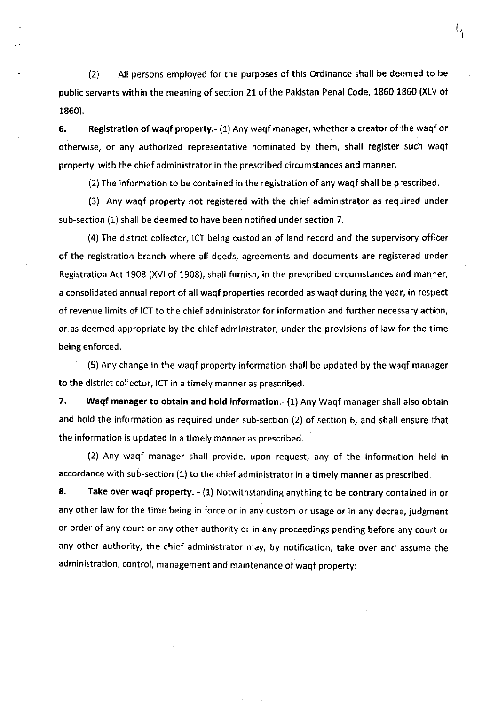$12$  All persons employed for the purposes of this Ordinance shall be deemed to be public servants within the meaning of section 21 of the Pakistan Penal Code, 1860 1860 (XLv of 1860).

 $\mathcal{L}_{1}$ 

6. Registration of waqf property.- (1) Any waqf manager, whether a creator of the waqf or otherwise, or any authorized representative nominated by them, shall register such waqf property with the chief administrator in the prescribed circumstances and manner.

(2) The information to be contained in the registration of any waqf shall be p'escribed.

(3) Any waqf property not registered with the chief administrator as required under sub-section (1) shall be deemed to have been notified under section 7.

(4) The district collector, ICT being custodian of land record and the supervisory officer of the registration branch where all deeds, agreements and documents are registered under Registration Act 1908 (XVl of 1908), shall furnish, in the prescribed circumstances and manner, a consolidated annual report of all waqf properties recorded as waqf during the year, in respect of revenue limits of ICT to the chief administrator for information and further necessary action, or as deemed appropriate by the chief administrator, under the provisions of law for the time being enforced.

(5) Any change in the waqf property information shall be updated by the waqf manager to the district collector, ICT in a timely manner as prescribed.

7. Waqf manager to obtain and hold information.- (1) Any Waqf manager shall also obtain and hold the information as required under sub-section (2) of section 6, and shali ensure that the information is updated in a timely manner as prescribed.

(2) Any waqf manager shall provide, upon request, any of the information held in accordance with sub-section (1) to the chief administrator in a timely manner as prescribed

8. Take over waqf property. - (1) Notwithstanding anything to be contrary contained in or any other law for the time being in force or in any custom or usage or in any decree, judgment or order of any court or any other authority or in any proceedings pending before any court or any other authority, the chief administrator may, by notification, take over and assume the administration, control, management and maintenance of waqf property: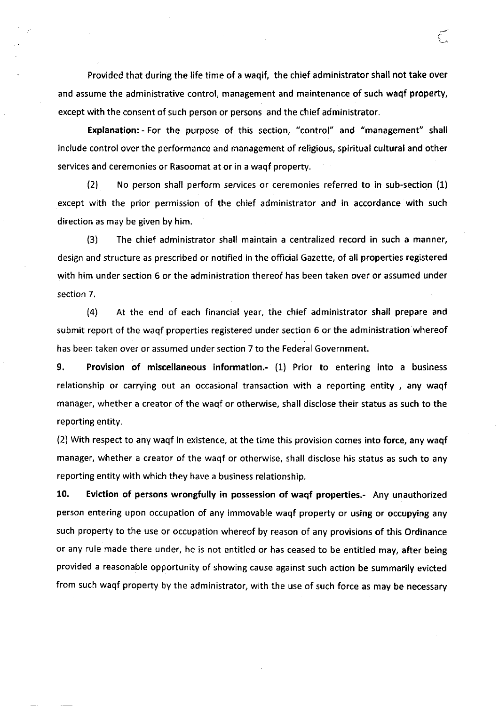Provided that during the life time of a waqif, the chief administrator shall not take over and assume the administrative control, management and maintenance of such waqf property, except with the consent of such person or persons and the chief administrator.

Explanation: - For the purpose of this section, "control" and "management" shall include control over the performance and management of religious, spiritual cultural and other services and ceremonies or Rasoomat at or in a waqf property.

(2) No person shall perform services or ceremonies referred to in sub-section (1) except with the prior permission of the chief administrator and in accordance with such direction as may be given by him.

(3) The chief administrator shall maintain a centralized record in such a manner, design and structure as prescribed or notified in the official Gazette, of all properties registered with him under section 6 or the administration thereof has been taken over or assumed under section 7.

(4) At the end of each financial year, the chief administrator shall prepare and submit report of the waqf properties registered under section 6 or the administration whereof has been taken over or assumed under section 7 to the Federal Government.

9. Provision of miscellaneous information.- (1) Prior to entering into a business relationship or carrying out an occasional transaction with a reporting entity, any waqf manager, whether a creator of the waqf or otherwise, shall disclose their status as such to the reporting entity.

(2) With respect to any waqf in existence, at the time this provision comes into force, any waqf manager, whether a creator of the waqf or otherwise, shall disclose his status as such to any reporting entity with which they have a business relationship.

10. Eviction of persons wrongfully in possession of waqf properties.- Any unauthorized person entering upon occupation of any immovable waqf property or using or occupying any such property to the use or occupation whereof by reason of any provisions of this Ordinance or any rule made there under, he is not entitled or has ceased to be entitled may, after being provided a reasonable opportunity of showing cause against such action be summarily evicted from such waqf property by the administrator, with the use of such force as may be necessary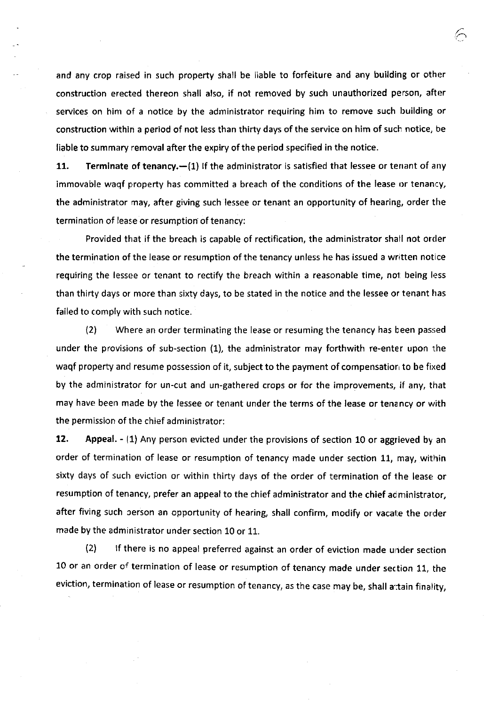and any crop raised in such property shall be liable to forfeiture and any building or other construction erected thereon shall also, if not removed by such unauthorized person, after services on him of a notice by the administrator requiring him to remove such building or construction within a period of not less than thirty days of the service on him of such notice, be liable to summary removal after the expiry of the period specified in the notice.

11. Terminate of tenancy. $-(1)$  if the administrator is satisfied that lessee or tenant of any immovable waqf property has committed a breach of the conditions of the lease or tenancy, the administrator may, after giving such lessee or tenant an opportunity of hearing, order the termination of lease or resumption of tenancy:

Provided that if the breach is capable of rectification, the administrator shall not order the termination of the lease or resumption of the tenancy unless he has issued a written notice requiring the lessee or tenant to rectify the breach within a reasonable time, not being less than thirty days or more than sixty days, to be stated in the notice and the lessee or tenant has failed to comply with such notice.

(2) Where an order terminating the lease or resuming the tenancy has been passed under the provisions of sub-section (1), the administrator may forthwith re-enter upon the waqf property and resume possession of it, subject to the payment of compensatior to be fixed by the administrator for un-cut and un-gathered crops or for the improvements, if any, that may have been made by the lessee or tenant under the terms of the lease or tenency or with the permission of the chief administrator:

12, Appeal. - (1) Any person evicted under the provisions of section 10 or aggrieved by an order of termination of lease or resumption of tenancy made under section 11, may, within sixty days of such eviction or within thirty days of the order of termination of the lease or resumption of tenancy, prefer an appeal to the chief administrator and the chief administrator, after fiving such person an opportunity of hearing, shall confirm, modify or vacate the order made by the administrator under section 10 or 11.

(2) If there is no appeal preferred against an order of eviction made under section 10 or an order of termination of lease or resumption of tenancy made under section 11, the eviction, termination of lease or resumption of tenancy, as the case may be, shall attain finality,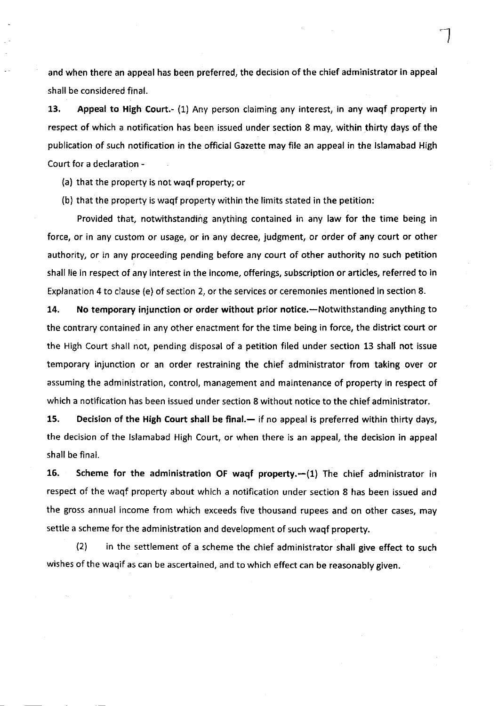and when there an appeal has been preferred, the decision of the chief administrator in appeal shall be considered final.

13. Appeal to High Court.- (1) Any person claiming any interest, in any waqf property in respect of which a notification has been issued under section 8 may, within thirty days of the publication of such notification in the official Gazette may file an appeal in the lslamabad High Court for a declaration -

- (a) that the property is not waqf property; or
- (b) that the property is waqf property within the limits stated in the petition:

Provided that, notwithstanding anything contained in any law for the time being in force, or in any custom or usage, or in any decree, judgment, or order of any court or other authority, or in any proceeding pending before any court of other authority no such petition shall lie in respect of any interest in the income, offerings, subscription or articles, referred to in Explanation 4 to clause (e) of section 2, or the services or ceremonies mentioned in section 8.

14. No temporary injunction or order without prior notice.—Notwithstanding anything to the contrary contained in any other enactment for the time being in force, the district court or the High Court shall not, pending disposal of a petition filed under section 13 shall not issue temporary injunction or an order restraining the chief administrator from taking over or assuming the administration, control, management and maintenance of property in respect of which a notification has been issued under section 8 without notice to the chief administrator.

15. Decision of the High Court shall be final.— if no appeal is preferred within thirty days, the decision of the Islamabad High Court, or when there is an appeal, the decision in appeal shall be final.

16. Scheme for the administration OF waqf property. $-(1)$  The chief administrator in respect of the waqf property about which a notification under section 8 has been issued and the gross annual income from which exceeds five thousand rupees and on other cases, may settle a scheme for the administration and development of such waqf property.

(21 in the settlement of a scheme the chief administrator shall give effect to such wishes of the waqif as can be ascertained, and to which effect can be reasonably given.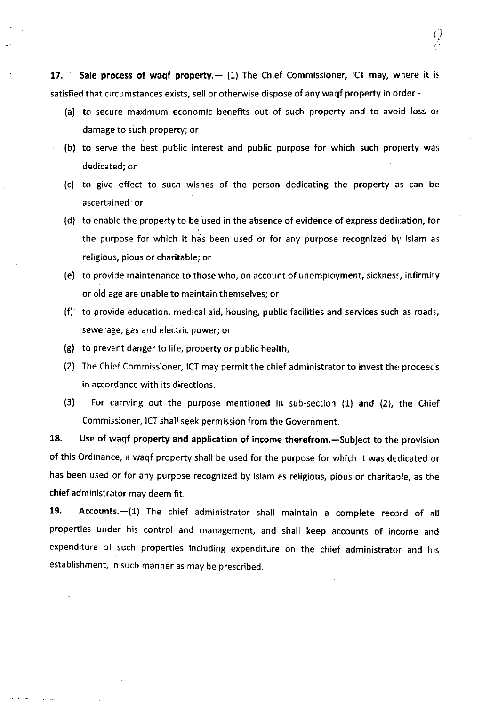17. Sale process of wagf property. $-$  (1) The Chief Commissioner, ICT may, where it is satisfied that circumstances exists, sell or otherwise dispose of any waqf property in order -

(a) to secure maximum economic benefits out of such property and to avoid loss or damage to such property; or

 $\overline{\xi}$ I ( l t,

- (b) to serve the best public interest and public purpose for which such property was dedicated; or
- (c) to give effect to such wishes of the person dedicating the property as can be ascertained: or
- (d) to enable the property to be used in the absence of evidence of express dedication, for the purpose for which it has been used or for any purpose recognized by Islam as religious, pious or charitable; or
- (e) to provide maintenance to those who, on account of unemployment, sickness, infirmity or old age are unable to maintain themselves; or
- (f) to provide education, medical aid, housing, public facilities and services such as roads, sewerage, gas and electric power; or
- (g) to prevent danger to life, property or public health,
- $(2)$  The Chief Commissioner, ICT may permit the chief administrator to invest the proceeds in accordance with its directions.
- (3) For carrving out the purpose mentioned in sub-section (1) and (2), the Chief Commissioner, ICT shall seek permission from the Government.

18. Use of waqf property and application of income therefrom.—Subject to the provision of this ordinance, a waqf property shall be used for the purpose for which it was dedicated or has been used or for any purpose recognized by lslam as religious, pious or charitable, as the chief administrator may deem fit.

19. Accounts.-(1) The chief administrator shall maintain a complete record of all properties under his control and management, and shall keep accounts of income and expenditure of such properties including expenditure on the chief administrator and his establishment, in such manner as may be prescribed.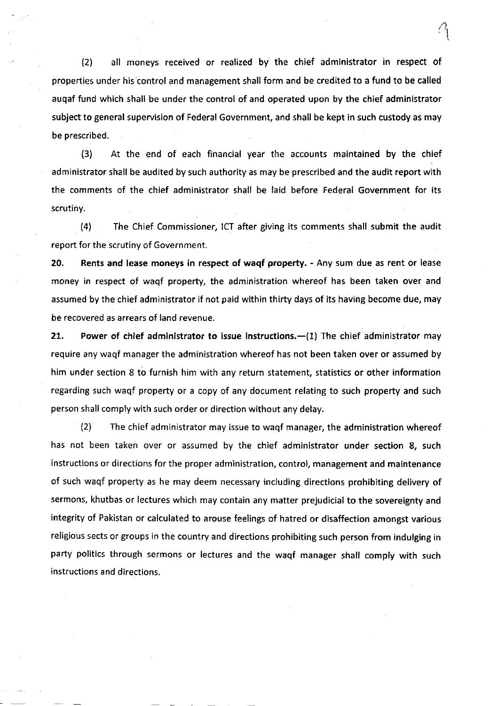(2) all moneys received or realized by the chief administrator in respect of properties under his control and management shall form and be credited to a fund to be called auqaf fund which shall be under the control of and operated upon by the chief administrator subject to general supervision of Federal Government, and shall be kept in such custody as may be prescribed.

(3) At the end of each financial year the accounts maintained by the chief administrator shall be audited by such authority as may be prescribed and the audit report with the comments of the chief administrator shall be laid before Federal Government for its scrutiny.

(4) The Chief Commissioner, ICT after giving its comments shall submit the audit report for the scrutiny of Government.

20, Rents and lease moneys in respect of waqf property. - Any sum due as rent or lease money in respect of waqf property, the administration whereof has been taken over and assumed by the chief administrator if not paid within thirty days of its having become due, may be recovered as arrears of land revenue.

21. Power of chief administrator to issue instructions. $-(1)$  The chief administrator may require any waqf manager the administration whereof has not been taken over or assumed by him under section 8 to furnish him with any return statement, statistics or other information regarding such waqf property or a copy of any document relating to such property and such person shall comply with such order or direction without any delay.

l2l The chief administrator may issue to waqf manager, the administration whereof has not been taken over or assumed by the chief administrator under section 8, such instructions or directions for the proper administration, control, management and maintenance of such waqf property as he may deem necessary including directions prohibiting delivery of sermons, khutbas or lectures which may contain any matter prejudicial to the sovereignty and integrity of Pakistan or calculated to arouse feelings of hatred or disaffection amongst various religious sects or groups in the country and directions prohibiting such person from indulging in party politics through sermons or lectures and the waqf manager shall comply with such instructions and directions.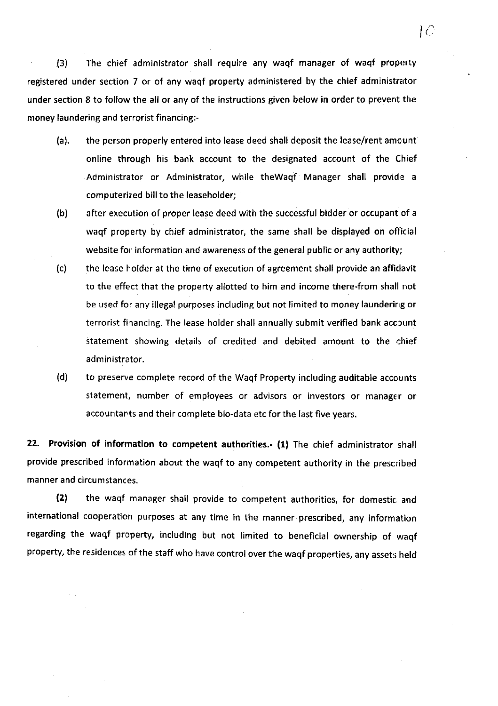(3) The chief administrator shall require any waqf manager of waqf proporty registered under section 7 or of any waqf property administered by the chief administrator under section 8 to follow the all or any of the instructions given below in order to prevent the money laundering and terrorist financing:-

 $LC$ 

- (a). the person properly entered into lease deed shall deposit the lease/rent amcunt online through his bank account to the designated account of the Chief Administrator or Administrator, while theWaqf Manager shall provide a computerized bill to the leaseholder;
- (b) after execution of proper lease deed with the successful bidder or occupant of <sup>a</sup> waqf property by chief administrator, the same shall be displayed on oflicial website for information and awareness of the general public or any authority;
- (c) the lease holder at the time of execution of agreement shall provide an afficlavit to the effect that the property allotted to him and income there-from shall not be used for any illegal purposes including but not limited to money laundering or terrorist financing. The lease holder shall annually submit verified bank account statement showing details of credited and debited amount to the chief administrator.
- (d) to preserve complete record of the Waqf Property including auditable accounts statement, number of employees or advisors or investors or manager or accountants and their complete bio-data etc for the last five years.

22. Provision of information to competent authorities.- (1) The chief administrator shall provide prescribed information about the waqf to any competent authority in the prescribed manner and circumstances.

(2) the waqf manager shall provide to competent authorities, for domestic and international cooperation purposes at any time in the manner prescribed, any information regarding the waqf property, including but not limited to beneficial ownership of waqf property, the residences of the staff who have control over the waqf properties, any assets held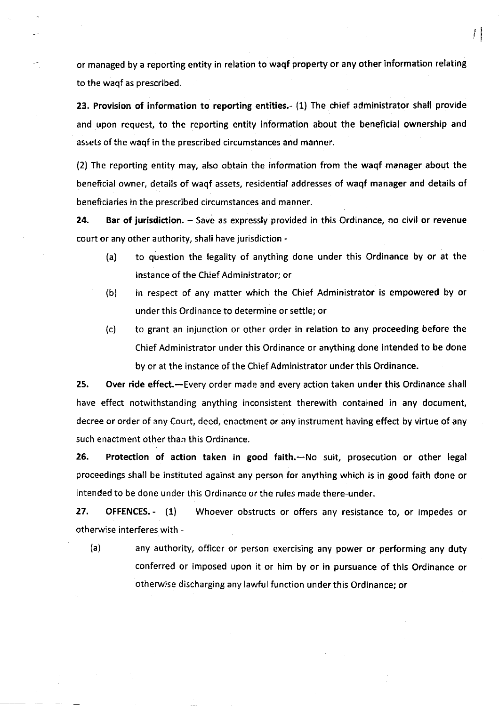or managed by a reporting entity in relation to waqf property or any other information relating to the waqf as prescribed.

rl

23. Provision of information to reporting entities.- (1) The chief administrator shall provide and upon request, to the reporting entity information about the beneficial ownership and assets of the waqf in the prescribed circumstances and manner.

(2) The reporting entity may, also obtain the information from the waqf manager about the beneficial owner, details of waqf assets, residential addresses of waqf manager and details of beneficiaries in the prescribed circumstances and manner.

24. Bar of jurisdiction. - Save as expressly provided in this Ordinance, no civil or revenue court or any other authority, shall have jurisdiction -

- (a) to question the legality of anything done under this Ordinance by or at the instance of the Chief Administrator; or
- (b) in respect of any matter which the Chief Administrator is empowered by or under this Ordinance to determine or settle; or
- (c) to grant an injunction or other order in relation to any proceeding before the Chief Administrator under this Ordinance or anything done intended to be done by or at the instance of the Chief Administrator under this Ordinance.

25. Over ride effect.-Every order made and every action taken under this Ordinance shall have effect notwithstanding anything inconsistent therewith contained in any document, decree or order of any Court, deed, enactment or any instrument having effect by virtue of any such enactment other than this Ordinance.

26. Protection of action taken in good faith.-No suit, prosecution or other legal proceedings shall be instituted against any person for anything which is in good faith done or intended to be done under this Ordinance or the rules made there-under.

27. OFFENCES. - (1) Whoever obstructs or offers any resistance to, or impedes or otherwise interferes with -

(a) any authority, officer or person exercising any power or performing any duty conferred or imposed upon it or him by or in pursuance of this Ordinance or otherwise discharging any lawful function under this Ordinance; or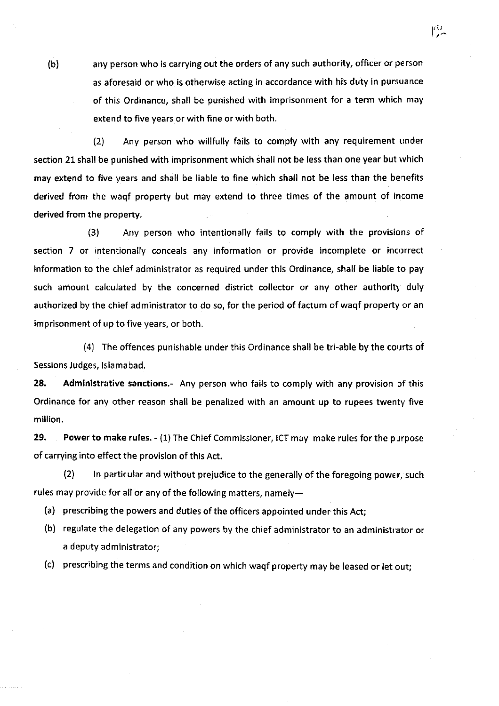(b) any person who is carrying out the orders of any such authority, officer or person as aforesaid or who is otherwise acting in accordance with his duty in pursuance of this Ordinance, shall be punished with imprisonment for a term which may extend to five years or with fine or with both.

 $\mathbb{C}^2$ 

(2) Any person who willfully fails to comply with any requirement under section 21 shall be punished with imprisonment which shall not be less than one year but which may extend to five years and shall be liable to fine which shall not be less than the berrefits derived from the waqf property but may extend to three times of the amount of income derived from the property.

(3) Any person who intentionally fails to comply with the provisions of section 7 or intentionally conceals any information or provide incomplete or incorrect information to the chief administrator as required under this Ordinance, shall be liable to pay such amount calculated by the concerned district collector or any other authority duly authorized by the chief administrator to do so, for the period of factum of waqf property or an imprisonment of up to five years, or both.

(4) The offences punishable under this Ordinance shall be tri-able by the courts of Sessions Judges, Islamabad.

28. Administrative sanctions.- Any person who fails to comply with any provision of this Ordinance for any other reason shall be penalized with an amount up to rupees twenty five million.

29, Power to make rules. - (1) The Chief Commissioner, ICT may make rules for the purpose of carrying into effect the provision of this Act.

 $(2)$  ln particular and without prejudice to the generally of the foregoing power, such rules may provide for all or any of the following matters, namely-

(a) prescribing the powers and duties of the officers appointed under this Act;

(b) regulate the delegation of any powers by the chief administrator to an administtator or a deputy administrator;

(c) prescribing the terms and condition on which waqf property may be leased or let out;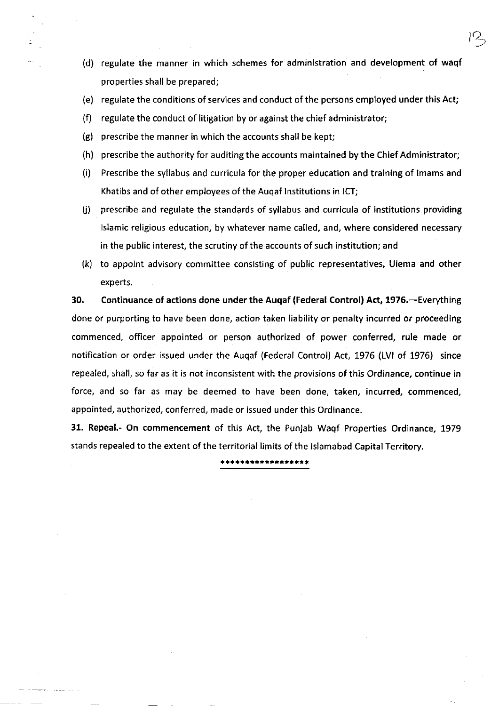(d) regulate the manner in which schemes for administration and development of waqf properties shall be prepared;

 $P_{\rightarrow}$ 

- (e) regulate the conditions of services and conduct of the persons employed under this Act;
- (f) regulate the conduct of litigation by or against the chief administrator;
- (g) prescribe the manner in which the accounts shall be kept;
- (h) prescribe the authority for auditing the accounts maintained by the Chief Administrator;
- (i) Prescribe the syllabus and curricula for the proper education and training of lmams and Khatibs and of other employees of the Auqaf lnstitutions in ICT;
- $(i)$  prescribe and regulate the standards of syllabus and curricula of institutions providing lslamic rellgious education, by whatever name called, and, where considered necessary in the public interest, the scrutiny of the accounts of such institution; and
- (k) to appoint advisory committee consisting of public representatives, Ulema and other experts.

30. Continuance of actions done under the Augaf (Federal Control) Act, 1976. - Everything done or purporting to have been done, action taken liability or penalty incurred or proceeding commenced, officer appointed or person authorized of power conferred, rule made or notification or order issued under the Auqaf (Federal Control) Act, 7976 (LVl of 1976) since repealed, shall, so far as it is not inconsistent with the provisions of this Ordinance, continue in force, and so far as may be deemed to have been done, taken, incurred, commenced, appointed, authorized, conferred, made or issued under this Ordinance.

31. Repeal.- On commencement of this Act, the Punjab Waqf Properties Ordinance, 1979 stands repealed to the extent of the territorial limits of the lslamabad Capital Territory.

\*\*\*\*\*\*\*\*\*\*\*\*\*\*\*\*\*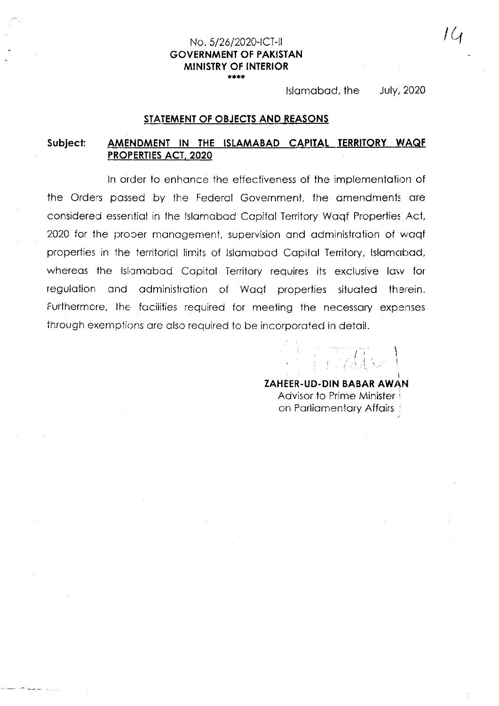#### No. 5/26/2020-ICT-II **GOVERNMENT OF PAKISTAN MINISTRY OF INTERIOR** \*\*\*\*

Islamabad, the **July, 2020** 

# STATEMENT OF OBJECTS AND REASONS

#### Subject: AMENDMENT IN THE ISLAMABAD CAPITAL TERRITORY WAQE **PROPERTIES ACT, 2020**

In order to enhance the effectiveness of the implementation of the Orders passed by the Federal Government, the amendments are considered essential in the Islamabad Capital Territory Wagf Properties Act, 2020 for the proper management, supervision and administration of wagf properties in the territorial limits of Islamabad Capital Territory, Islamabad, whereas the Islamabad Capital Territory requires its exclusive law for regulation and administration of Wagf properties situated therein. Furthermore, the facilities required for meeting the necessary expenses through exemptions are also required to be incorporated in detail.

**ZAHEER-UD-DIN BABAR AWAN** 

Advisor to Prime Minister on Parliamentary Affairs !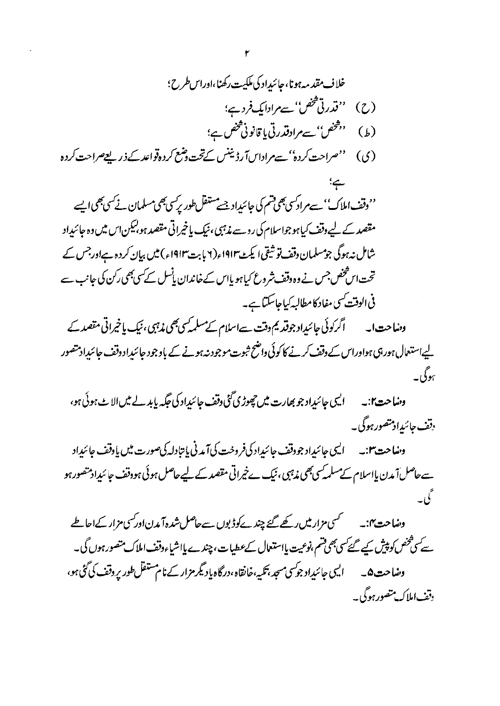(ی) ''صراحت کردہ''سےمراداسآ رڈیننس کےتخت دضع کردہ<sup>ت</sup>واعد کے ذریعے صراحت کردہ

''وقف املاک'' سے مراد سی بھی قسم کی جائیداد جسے مستقل طور پر سی بھی مسلمان نے سی بھی ایسے مقصد کے لیے وقف کیا ہوجواسلام کی روسے مذہبی ، نیک یا خیراتی مقصد ہو بیکن اس میں وہ جائیداد شامل نہ ہوگی جومسلمان دقف تو شیقی ایکٹ ۱۹۱۳ء (۲ بابت۱۹۱۳ء) میں بہان کردہ ہےاورجس کے تحت اس شخص جس نے وہ وقف شروع کیا ہو یااس کے خاندان پانسل کے کسی بھی رکن کی جانب سے فی الوقت کسی مفاد کامطالبہ کیاجاسکتا ہے۔

وہنیاحت ا۔ اگرکوئی جائیدِاد جوقد یم دقت سےاسلام کےمسلمہ کسی تیبی، نیک یاخیراتی مقصد کے لیےاستعال ہورہی ہواوراس کے دقف کرنے کا کوئی واضح ثبوت موجود نہ ہونے کے باوجود جائیداد دقف جائیداد متصور بېوگې-

الیں جائیداد جو بھارت میں چھوڑ پ گئی وقف جائیداد کی جگہ پابد لے میں الا بے ہوئی ہو، وضاحت ا:۔ وقف جائیدا**د تص**ورہوگی۔

الیں جائیداد جووقف جائیداد کی فروخت کی آمدنی پانتادلہ کی صورت میں یاوقف جائیداد وہنیاحت ۱:پ سےحاصل اُ مدن پااسلام کےمسلمہ کسی بھی مذہبی ، نیک ےخیراتی مقصد کے لیےحاصل ہوئی ہودقف جائئیدادمتصور ہو

سٹسمسی مزار میں رکھے گئے چند کے دڈ بوں سے حاصل شدہ آمدن اور کسی مزار کےاحاطے وہنیاحت پہنے سے کسی تخص کو پیش کیے گئے کسی بھی قسم ،نوعیت پااستعمال کےعطیات ،چندے پااشیاءوقف املاک متصور ہوں گی۔ ونغاحت۵۔ ایسی جائیداد جوکسی مسجد ،تکیہ،خانقاہ،درگاہ یادیگر مزار کے نام مستقل طور پر وقف کی گئی ہو، وقف املاك متصور ہوگی۔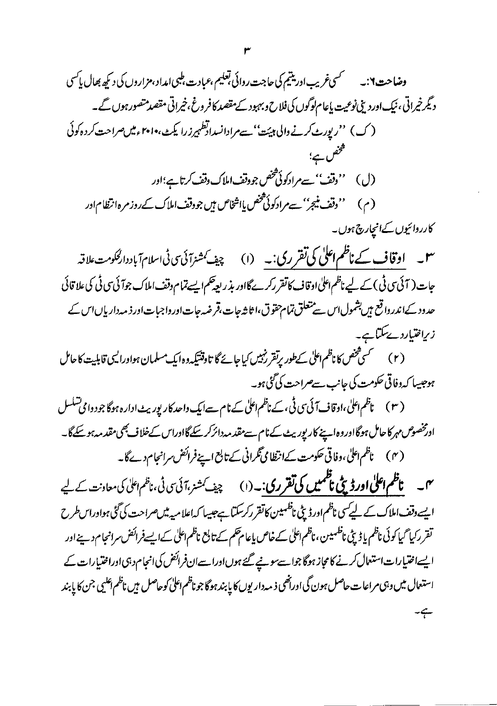$\mathbf{r}$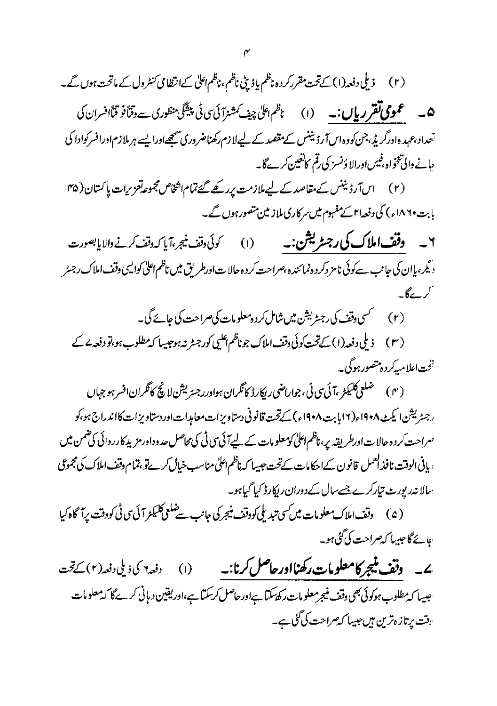(۲) ذیلی دفعہ(۱) کےتخت مقرر کردہ ناظم یاڈ پٹی ناظم، ناظم اعلٰی کےانتظامی *کنٹر*ول کے ماتحت ہوں گے۔ ھ - عمومی تقریر پال:۔ (١) ، ناظم اعلٰ چیف کمشنرآئی سی ٹی پیشکی منظوری سے وقراً فو قیاً افسران کی تعداد،عہدہاورگریڈ،جن کووہ اس آرڈیننس کےمقصد کے لیےلا زم رکھناضروری سمجھاورا یہے ہر ملازم اورافسر کوادا کی حانے والی تنخواہ ،فیس اورالا وَنسز کی رقم کاتعین کرےگا۔

(۲) اس آرڈینٹس کے مقاصد کے لیے ملازمت پررکھ گئےتمام اشخاص مجموع**دتعزیرات پاکستان** (۴۵ بابت ۱۸۶۰ء) کی دفعہ ام کے مفہوم میں سرکاری ملاز مین متصور ہوں گے۔

۲ \_ \_ و**فف املاک کی رجسٹریشن:۔** (۱) \_\_ کوئی دقف <del>نی</del>جر،آیا کہ دفف کرنے والایابصورت <sub>ز</sub>یگر، پ<u>ا</u>ان کی جانب سےکوئی نامز دکر دہ نمائندہ ،صراحت کر دہ حالا ت اورطریق میں ناظم اعلیٰ کوایسی وقف املاک رجسٹر كركے

- 
- (۳) زیلی دفعہ (۱) کےتحت کوئی دقف املاک جوناظم اعلیی کورجٹر نہ ہوجیسا کہ مطلوب ہو،تو دفعہ <sup>ے</sup> کے نځت اعلامیهٔ کرده متصور ہوگی۔
- (۴) ضلعى كليكمر ،آئىسى ٹى ، جواراضى ريكارڈ كانگران ہواورر جسٹریشن لانچ كانگران افسر ہو جہاں ( رجسٹریشن ائیکٹ ۱۹۰۸ء(۱۲)بابت ۱۹۰۸ء) کےتحت قانونی دستاویزات معامدات اور دستاویزات کااندراج ہو،کو <sup>و</sup> راحت کر دہ حالات اورطریقہ یر، ناظم اعلیٰ کومعلومات کے لیےآئی <sub>ت</sub>ی ٹی کی محاصل حدوداور مزید کارروائی کی ضمن میں ، يافى الوقت، نافذ كعمل قانون كےاحكامات كےتحت جيسا كہ ناظم اعلٰیٰ مناسب خیال کرےتو ،تمام وقف املاك کی مجموعی سالا نەرىيورٹ تياركرے جسےسال كےدوران رېكار ڈ كيا گياہو۔

(۵) دقف املاک معلومات میں سی تبدیلی کووقف منیجر کی جانب سے ضلعی کلیکٹر آئی <sub>گی</sub> کووقت پرآگاہ کیا <u> عائے گا جیبہا کہ صراحت کی گئی ہو۔</u>

ے۔ وتف منیجر کامعلومات رکھنااورحاصل کرنا:۔ دفعه¶ کی ذیلی دفعہ(۲) کےتحت  $\circ$ جبیها که مطلوب ہوکوئی بھی دقف منیجر معلومات رکھ سکتا ہےاور حاصل کرسکتا ہے،اور یقین دیانی کرے گا کہ معلومات <sub>"</sub>فت پرتازہ ترین ہیں جیسا ک**یصراحت کی گ**ئی ہے۔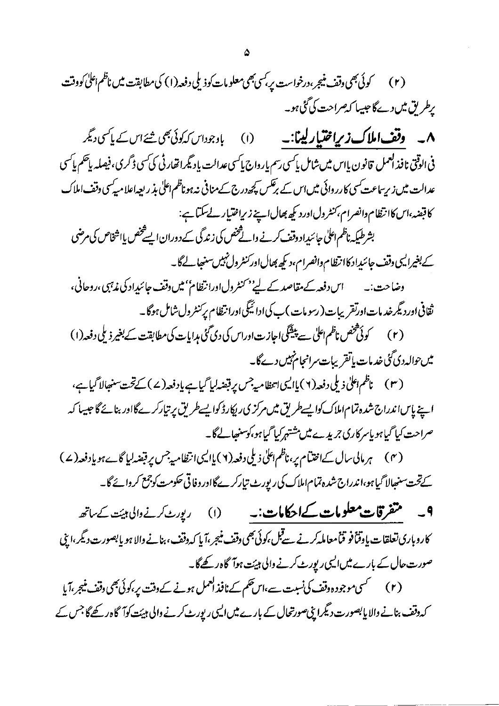کہ دقف بنانے والا پابصورت دیگرا پی صورتحال کے بارے میں ایسی رپورٹ کرنے والی ہیئت کوآگاہ رکھےگا جس کے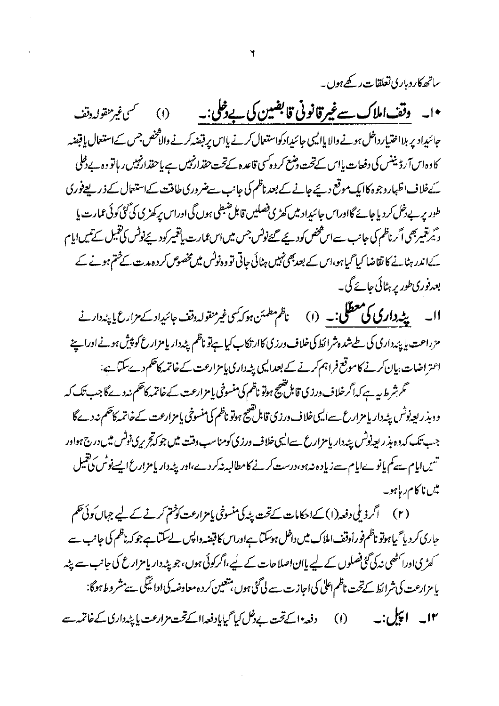ساتھ کاروباری تعلقات رکھے ہوں۔

•ا۔ وقف املاک سے غیرقانونی قابضین کی بے دخلی:۔ (۱) سىسى غىزىنقولەد**ى**قت جائبیداد پر بلااختیار داخل ہونے والا یاالیپی جائبیدادکواستعال کرنے یااس پر قبضہ کرنے والاَحْض جس کےاستعال یاقبضہ كاوہ اس آرڈیننس کی دفعات پااس کےتحت دمنع کر دہ کسی قاعدہ کےتحت حقدار نہیں ہے یا حقدارنہیں ریاتو وہ بے ڈملی ئےخلاف اظہاروجوہ کاایک موقع دیئے جانے کے بعد ناظم کی جانب سےضروری طاقت کےاستعال کے ذریعے فوری طور پر بے دخل کر دیا جائے گااوراس جائیداد میں کھڑی فصلیں قابل ضبطی ہوں گی اوراس پرکھڑی کی گئی کوئی عمارت یا د ٹیرنتمیربھی اگر ناظم کی جانب سےاس شخص کودیئے گئےنوٹس جس میں اس عمارت یاتتمیر کودیئےنوٹس کی تقیل کے نیس ایا م کےاندر ہٹانے کا نقاضا کیا گیاہو،اس کے بعدبھی نہیں ہٹائی جاتی تو وہ نوٹس میں مخصوص کر د ہدت کے ختم ہونے کے بعدفوری طور پر ہٹائی جائے گی۔

اا۔ پٹہ داری کی معظلی:۔ (۱) ناظم مطمئن ہوکہ کسی غیر منقولہ دقف جائیداد کے مزارع پا پٹہ دارنے مزراعت یا پایهٔ داری کی طے شدہ شرائط کی خلاف ورزی کاارتکاب کیا ہے تو ناظم پٹہ دار یا مزارع کو پیش ہونے اوراپ پنے اعتراضات،پان کرنے کاموقع فراہم کرنے کے بعدالیں پٹہ داری پامزارعت کے خاتمہ کاحکم دے سکتاہے: گر شرط بیہ ہے کہ اگر خلاف ورزی قابل تھیج ہوتو ناظم کی منسوخی یامزارعت کے خاتمہ کاحکم نہ دے گا جب تک کہ

ودہذر بعیدنوٹس پٹہ داریا مزارع سےایسی خلاف درزی قابل تھیج ہوتو ناظم کی منسوخی پامزارعت کے خاتمہ کاحکم نہ دےگا جب تک که وه بذر بعیدنونش پیددار پامزارع سےالیپی خلاف ورزی کومناسب دفت میں جو کہ تحریری نونش میں درج ہواور تس<u>یں ایا</u>م ہے کم یانوےایام سے زیادہ نہ ہو،درست کرنے کامطالبہ نہ کردے،اور پ<sup>ی</sup>ہ دار یامزارع ایسے نوٹس کی تعمیل میں ناکام ریاہو۔

جاری کر دیا گیا ہوتو ناظم فوراًوقف املاک میں داخل ہوسکتا ہےاوراس کا قبضہ دالپس لےسکتا ہے جو کہ ناظم کی جانب سے کھڑیااورا کٹھی نہ کی گٹی فصلوں کے لیے پاان اصلاحات کے لیے،اگر کوئی ہوں،جو پپٹہ دار پامزارع کی جانب سے پپٹہ پا مزارعت کی شرائط کےتحت ناظم اعلٰی کی اجاز ت سے لی گئی ہوں ہتعین کر د ہ معاوضہ کی ادائیگی ہے مشر و ط ہوگا: (۱) دفعہ اکےتحت بےدخل کیا گیایادفعہ ااکےتحت مزارعت پا پٹہ داری کے خاتمہ سے ۱۲۔ اچل:۔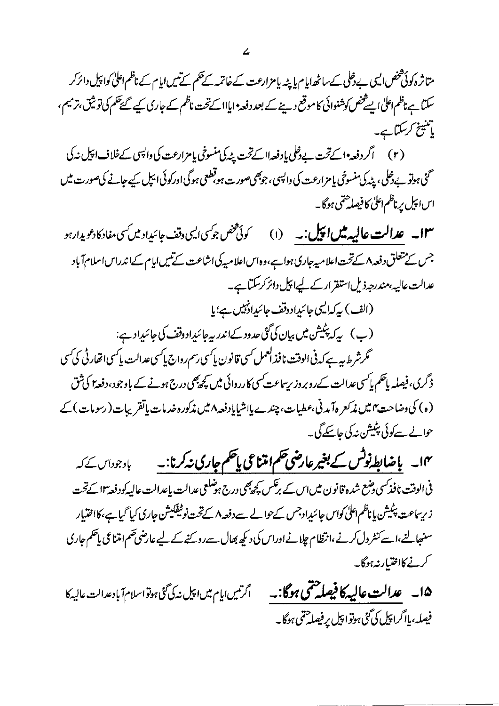متاثر ہ کوئی شخص ایس بے دخلی کے ساٹھ ایام یا پٹہ پامزارعت کے خاتمہ کے حکم کے نیں ایام کے ناظم اعلیٰ کواپیل دائرکر سکتا ہے ناظم اعلٰی ایسے خص کوشنوائی کاموقع دینے کے بعد دفعہ ایااا کے تحت ناظم کے جاری کیے گئے تھم کی تو ثیق برمیم ، ماتنینج کرسکتاہے۔

گئی ہوتو بے ڈملی، پٹہ کی منسوخی یا مزارعت کی واپسی ، جوبھی صورت ہو قطعی ہوگی اورکوئی ایپل کیے جانے کی صورت میں اس اپیل پرناظم اعلیٰ کا فیصلہ حتمی ہوگا۔

**۱۳۔ عدالت عالیہ میں اپیل :۔** (۱) کوئی *څخص جوکسی ایسی وقف جائیداد میں کسی م*فاد کادعویدارہو جس کے متعلق دفعہ ۸ کے تحت اعلامیہ جاری ہوا ہے،وہ اس اعلامیہ کی اشاعت کے نیں ایام کےاندراس اسلام آباد عدالت عالیہ،مندرجہ ذیل استفرّ ارکے لیےا پیل دائر کرسکتاہے۔

(الف) بیرکدالیپ جائیدادوقف جائیدادنبیں ہے؛ یا (ب) پرکہ پٹیشن میں بیان کی گئی حدود کےاندر بیرجائیداد وقف کی جائیداد ہے: گرشرط بیہ ہے کہ فی الوقت نافذ العمل کسی قانون پاکسی رسم رواج پاکسی عدالت پاکسی اتفار ٹی کی کسی

ڈ گری،فیصلہ پاتھم پاکسی عدالت کےروبروز ریساعت کسی کارروائی میں کچھپھی درج ہونے کے باوجود ،دفعہ ۲ کی تُق (ە) كى دىنياحت» مىن مذكعر ەآمدنى،عطيات، چندے پااشياپاد فعە ٨ مىن مذكور ەخدمات پاتقريبات(رسومات) كے حوالے سے کوئی پٹیشن نہ کی جاسکے گی۔

۱۴۔ باضابط نوٹس کے بغیرعارضی حکم امتناعی پاچکم جاری نہ کرنا:۔ باوجوداس کے کہ فی الوقت نافذ کسی دضع شدہ قانون میں اس کے برتکس پچھ بھی درج ہوشلعی عدالت باعدالت عالیہ کودفعہ ۱۳ کےتحت ز ریساعت پٹیشن پاناظم اعلیٰ کواس جائئدادجس کےحوالے سےدفعہ ۸ کےتحت نوٹیفکیشن جاری کیا گیاہے،کااختیار سنہجالنے،اسے کنٹر دل کرنے،انتظام چلانےاوراس کی دیکھ بھال سےروکنے کے لیے عارضی حکم امتناعی پاحکم جاری كرنے كااختیار نہ ہوگا۔

۱۵\_ عدالت عالیه کافیصله حتمی ہوگا:۔ اگرتىس ايام مىں اىپل نەكى گئى ہوتواسلام آباد عدالت عاليہ كا فیصلہ،پااگراپیل کی گئی ہوتوا پیل پر فیصا حتمی ہوگا۔